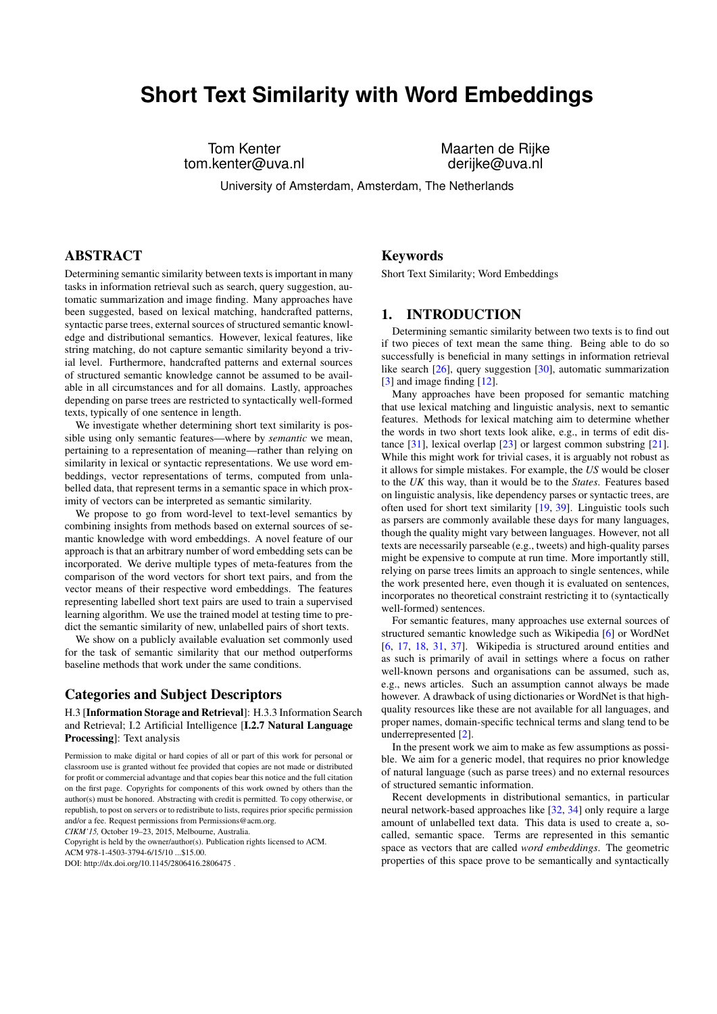# **Short Text Similarity with Word Embeddings**

tom.kenter@uva.nl

Tom Kenter Maarten de Rijke

University of Amsterdam, Amsterdam, The Netherlands

# ABSTRACT

Determining semantic similarity between texts is important in many tasks in information retrieval such as search, query suggestion, automatic summarization and image finding. Many approaches have been suggested, based on lexical matching, handcrafted patterns, syntactic parse trees, external sources of structured semantic knowledge and distributional semantics. However, lexical features, like string matching, do not capture semantic similarity beyond a trivial level. Furthermore, handcrafted patterns and external sources of structured semantic knowledge cannot be assumed to be available in all circumstances and for all domains. Lastly, approaches depending on parse trees are restricted to syntactically well-formed texts, typically of one sentence in length.

We investigate whether determining short text similarity is possible using only semantic features—where by *semantic* we mean, pertaining to a representation of meaning—rather than relying on similarity in lexical or syntactic representations. We use word embeddings, vector representations of terms, computed from unlabelled data, that represent terms in a semantic space in which proximity of vectors can be interpreted as semantic similarity.

We propose to go from word-level to text-level semantics by combining insights from methods based on external sources of semantic knowledge with word embeddings. A novel feature of our approach is that an arbitrary number of word embedding sets can be incorporated. We derive multiple types of meta-features from the comparison of the word vectors for short text pairs, and from the vector means of their respective word embeddings. The features representing labelled short text pairs are used to train a supervised learning algorithm. We use the trained model at testing time to predict the semantic similarity of new, unlabelled pairs of short texts.

We show on a publicly available evaluation set commonly used for the task of semantic similarity that our method outperforms baseline methods that work under the same conditions.

# Categories and Subject Descriptors

H.3 [Information Storage and Retrieval]: H.3.3 Information Search and Retrieval; I.2 Artificial Intelligence [I.2.7 Natural Language Processing]: Text analysis

*CIKM'15,* October 19–23, 2015, Melbourne, Australia.

Copyright is held by the owner/author(s). Publication rights licensed to ACM.

ACM 978-1-4503-3794-6/15/10 \$15.00

# Keywords

Short Text Similarity; Word Embeddings

# 1. INTRODUCTION

Determining semantic similarity between two texts is to find out if two pieces of text mean the same thing. Being able to do so successfully is beneficial in many settings in information retrieval like search [\[26\]](#page-9-0), query suggestion [\[30\]](#page-9-1), automatic summarization [\[3\]](#page-9-2) and image finding [\[12\]](#page-9-3).

Many approaches have been proposed for semantic matching that use lexical matching and linguistic analysis, next to semantic features. Methods for lexical matching aim to determine whether the words in two short texts look alike, e.g., in terms of edit distance [\[31\]](#page-9-4), lexical overlap [\[23\]](#page-9-5) or largest common substring [\[21\]](#page-9-6). While this might work for trivial cases, it is arguably not robust as it allows for simple mistakes. For example, the *US* would be closer to the *UK* this way, than it would be to the *States*. Features based on linguistic analysis, like dependency parses or syntactic trees, are often used for short text similarity [\[19,](#page-9-7) [39\]](#page-9-8). Linguistic tools such as parsers are commonly available these days for many languages, though the quality might vary between languages. However, not all texts are necessarily parseable (e.g., tweets) and high-quality parses might be expensive to compute at run time. More importantly still, relying on parse trees limits an approach to single sentences, while the work presented here, even though it is evaluated on sentences, incorporates no theoretical constraint restricting it to (syntactically well-formed) sentences.

For semantic features, many approaches use external sources of structured semantic knowledge such as Wikipedia [\[6\]](#page-9-9) or WordNet [\[6,](#page-9-9) [17,](#page-9-10) [18,](#page-9-11) [31,](#page-9-4) [37\]](#page-9-12). Wikipedia is structured around entities and as such is primarily of avail in settings where a focus on rather well-known persons and organisations can be assumed, such as, e.g., news articles. Such an assumption cannot always be made however. A drawback of using dictionaries or WordNet is that highquality resources like these are not available for all languages, and proper names, domain-specific technical terms and slang tend to be underrepresented [\[2\]](#page-9-13).

In the present work we aim to make as few assumptions as possible. We aim for a generic model, that requires no prior knowledge of natural language (such as parse trees) and no external resources of structured semantic information.

Recent developments in distributional semantics, in particular neural network-based approaches like [\[32,](#page-9-14) [34\]](#page-9-15) only require a large amount of unlabelled text data. This data is used to create a, socalled, semantic space. Terms are represented in this semantic space as vectors that are called *word embeddings*. The geometric properties of this space prove to be semantically and syntactically

Permission to make digital or hard copies of all or part of this work for personal or classroom use is granted without fee provided that copies are not made or distributed for profit or commercial advantage and that copies bear this notice and the full citation on the first page. Copyrights for components of this work owned by others than the author(s) must be honored. Abstracting with credit is permitted. To copy otherwise, or republish, to post on servers or to redistribute to lists, requires prior specific permission and/or a fee. Request permissions from Permissions@acm.org.

DOI: http://dx.doi.org/10.1145/2806416.2806475 .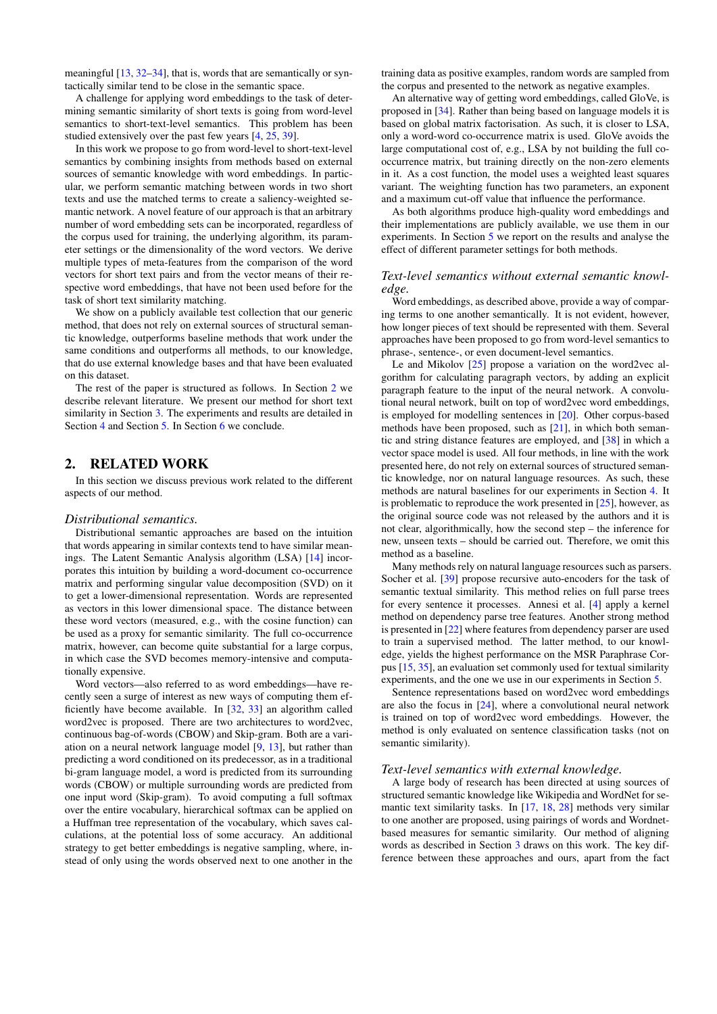meaningful [\[13,](#page-9-16) [32](#page-9-14)[–34\]](#page-9-15), that is, words that are semantically or syntactically similar tend to be close in the semantic space.

A challenge for applying word embeddings to the task of determining semantic similarity of short texts is going from word-level semantics to short-text-level semantics. This problem has been studied extensively over the past few years [\[4,](#page-9-17) [25,](#page-9-18) [39\]](#page-9-8).

In this work we propose to go from word-level to short-text-level semantics by combining insights from methods based on external sources of semantic knowledge with word embeddings. In particular, we perform semantic matching between words in two short texts and use the matched terms to create a saliency-weighted semantic network. A novel feature of our approach is that an arbitrary number of word embedding sets can be incorporated, regardless of the corpus used for training, the underlying algorithm, its parameter settings or the dimensionality of the word vectors. We derive multiple types of meta-features from the comparison of the word vectors for short text pairs and from the vector means of their respective word embeddings, that have not been used before for the task of short text similarity matching.

We show on a publicly available test collection that our generic method, that does not rely on external sources of structural semantic knowledge, outperforms baseline methods that work under the same conditions and outperforms all methods, to our knowledge, that do use external knowledge bases and that have been evaluated on this dataset.

The rest of the paper is structured as follows. In Section [2](#page-1-0) we describe relevant literature. We present our method for short text similarity in Section [3.](#page-2-0) The experiments and results are detailed in Section [4](#page-4-0) and Section [5.](#page-5-0) In Section [6](#page-8-0) we conclude.

# <span id="page-1-0"></span>2. RELATED WORK

In this section we discuss previous work related to the different aspects of our method.

#### *Distributional semantics.*

Distributional semantic approaches are based on the intuition that words appearing in similar contexts tend to have similar meanings. The Latent Semantic Analysis algorithm (LSA) [\[14\]](#page-9-19) incorporates this intuition by building a word-document co-occurrence matrix and performing singular value decomposition (SVD) on it to get a lower-dimensional representation. Words are represented as vectors in this lower dimensional space. The distance between these word vectors (measured, e.g., with the cosine function) can be used as a proxy for semantic similarity. The full co-occurrence matrix, however, can become quite substantial for a large corpus, in which case the SVD becomes memory-intensive and computationally expensive.

Word vectors—also referred to as word embeddings—have recently seen a surge of interest as new ways of computing them efficiently have become available. In [\[32,](#page-9-14) [33\]](#page-9-20) an algorithm called word2vec is proposed. There are two architectures to word2vec, continuous bag-of-words (CBOW) and Skip-gram. Both are a variation on a neural network language model [\[9,](#page-9-21) [13\]](#page-9-16), but rather than predicting a word conditioned on its predecessor, as in a traditional bi-gram language model, a word is predicted from its surrounding words (CBOW) or multiple surrounding words are predicted from one input word (Skip-gram). To avoid computing a full softmax over the entire vocabulary, hierarchical softmax can be applied on a Huffman tree representation of the vocabulary, which saves calculations, at the potential loss of some accuracy. An additional strategy to get better embeddings is negative sampling, where, instead of only using the words observed next to one another in the

training data as positive examples, random words are sampled from the corpus and presented to the network as negative examples.

An alternative way of getting word embeddings, called GloVe, is proposed in [\[34\]](#page-9-15). Rather than being based on language models it is based on global matrix factorisation. As such, it is closer to LSA, only a word-word co-occurrence matrix is used. GloVe avoids the large computational cost of, e.g., LSA by not building the full cooccurrence matrix, but training directly on the non-zero elements in it. As a cost function, the model uses a weighted least squares variant. The weighting function has two parameters, an exponent and a maximum cut-off value that influence the performance.

As both algorithms produce high-quality word embeddings and their implementations are publicly available, we use them in our experiments. In Section [5](#page-5-0) we report on the results and analyse the effect of different parameter settings for both methods.

## *Text-level semantics without external semantic knowledge.*

Word embeddings, as described above, provide a way of comparing terms to one another semantically. It is not evident, however, how longer pieces of text should be represented with them. Several approaches have been proposed to go from word-level semantics to phrase-, sentence-, or even document-level semantics.

Le and Mikolov [\[25\]](#page-9-18) propose a variation on the word2vec algorithm for calculating paragraph vectors, by adding an explicit paragraph feature to the input of the neural network. A convolutional neural network, built on top of word2vec word embeddings, is employed for modelling sentences in [\[20\]](#page-9-22). Other corpus-based methods have been proposed, such as [\[21\]](#page-9-6), in which both semantic and string distance features are employed, and [\[38\]](#page-9-23) in which a vector space model is used. All four methods, in line with the work presented here, do not rely on external sources of structured semantic knowledge, nor on natural language resources. As such, these methods are natural baselines for our experiments in Section [4.](#page-4-0) It is problematic to reproduce the work presented in [\[25\]](#page-9-18), however, as the original source code was not released by the authors and it is not clear, algorithmically, how the second step – the inference for new, unseen texts – should be carried out. Therefore, we omit this method as a baseline.

Many methods rely on natural language resources such as parsers. Socher et al. [\[39\]](#page-9-8) propose recursive auto-encoders for the task of semantic textual similarity. This method relies on full parse trees for every sentence it processes. Annesi et al. [\[4\]](#page-9-17) apply a kernel method on dependency parse tree features. Another strong method is presented in [\[22\]](#page-9-24) where features from dependency parser are used to train a supervised method. The latter method, to our knowledge, yields the highest performance on the MSR Paraphrase Corpus [\[15,](#page-9-25) [35\]](#page-9-26), an evaluation set commonly used for textual similarity experiments, and the one we use in our experiments in Section [5.](#page-5-0)

Sentence representations based on word2vec word embeddings are also the focus in [\[24\]](#page-9-27), where a convolutional neural network is trained on top of word2vec word embeddings. However, the method is only evaluated on sentence classification tasks (not on semantic similarity).

### *Text-level semantics with external knowledge.*

A large body of research has been directed at using sources of structured semantic knowledge like Wikipedia and WordNet for semantic text similarity tasks. In [\[17,](#page-9-10) [18,](#page-9-11) [28\]](#page-9-28) methods very similar to one another are proposed, using pairings of words and Wordnetbased measures for semantic similarity. Our method of aligning words as described in Section [3](#page-2-0) draws on this work. The key difference between these approaches and ours, apart from the fact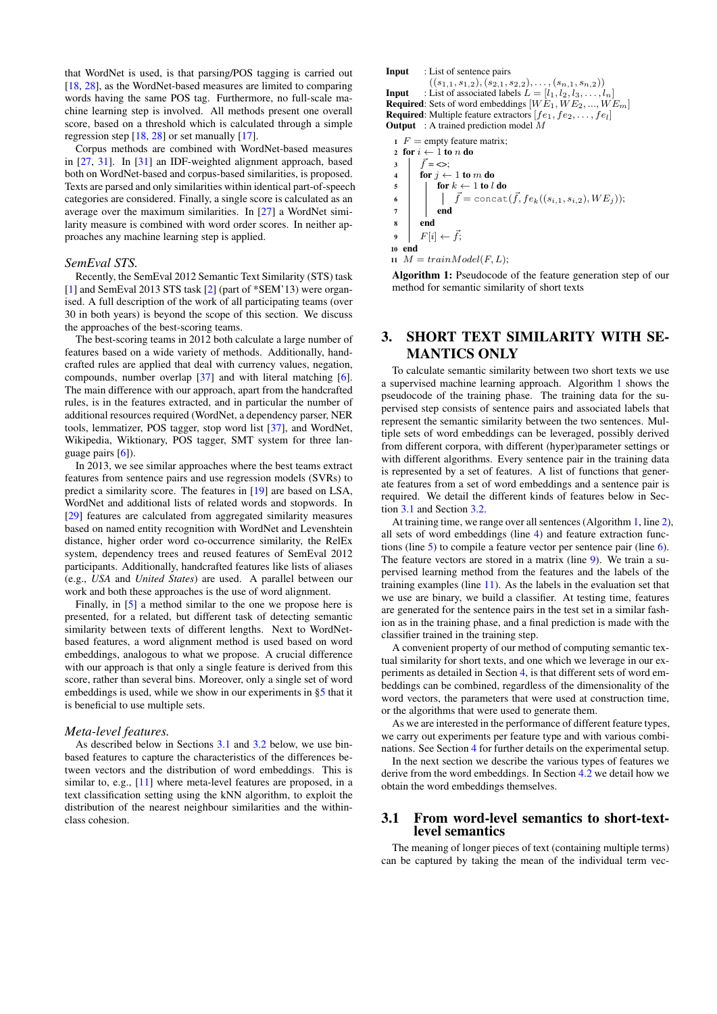that WordNet is used, is that parsing/POS tagging is carried out [\[18,](#page-9-11) [28\]](#page-9-28), as the WordNet-based measures are limited to comparing words having the same POS tag. Furthermore, no full-scale machine learning step is involved. All methods present one overall score, based on a threshold which is calculated through a simple regression step [\[18,](#page-9-11) [28\]](#page-9-28) or set manually [\[17\]](#page-9-10).

Corpus methods are combined with WordNet-based measures in [\[27,](#page-9-29) [31\]](#page-9-4). In [\[31\]](#page-9-4) an IDF-weighted alignment approach, based both on WordNet-based and corpus-based similarities, is proposed. Texts are parsed and only similarities within identical part-of-speech categories are considered. Finally, a single score is calculated as an average over the maximum similarities. In [\[27\]](#page-9-29) a WordNet similarity measure is combined with word order scores. In neither approaches any machine learning step is applied.

#### *SemEval STS.*

Recently, the SemEval 2012 Semantic Text Similarity (STS) task [\[1\]](#page-8-1) and SemEval 2013 STS task [\[2\]](#page-9-13) (part of \*SEM'13) were organised. A full description of the work of all participating teams (over 30 in both years) is beyond the scope of this section. We discuss the approaches of the best-scoring teams.

The best-scoring teams in 2012 both calculate a large number of features based on a wide variety of methods. Additionally, handcrafted rules are applied that deal with currency values, negation, compounds, number overlap [\[37\]](#page-9-12) and with literal matching [\[6\]](#page-9-9). The main difference with our approach, apart from the handcrafted rules, is in the features extracted, and in particular the number of additional resources required (WordNet, a dependency parser, NER tools, lemmatizer, POS tagger, stop word list [\[37\]](#page-9-12), and WordNet, Wikipedia, Wiktionary, POS tagger, SMT system for three language pairs [\[6\]](#page-9-9)).

In 2013, we see similar approaches where the best teams extract features from sentence pairs and use regression models (SVRs) to predict a similarity score. The features in [\[19\]](#page-9-7) are based on LSA, WordNet and additional lists of related words and stopwords. In [\[29\]](#page-9-30) features are calculated from aggregated similarity measures based on named entity recognition with WordNet and Levenshtein distance, higher order word co-occurrence similarity, the RelEx system, dependency trees and reused features of SemEval 2012 participants. Additionally, handcrafted features like lists of aliases (e.g., *USA* and *United States*) are used. A parallel between our work and both these approaches is the use of word alignment.

Finally, in [\[5\]](#page-9-31) a method similar to the one we propose here is presented, for a related, but different task of detecting semantic similarity between texts of different lengths. Next to WordNetbased features, a word alignment method is used based on word embeddings, analogous to what we propose. A crucial difference with our approach is that only a single feature is derived from this score, rather than several bins. Moreover, only a single set of word embeddings is used, while we show in our experiments in [§5](#page-5-0) that it is beneficial to use multiple sets.

#### *Meta-level features.*

As described below in Sections [3.1](#page-2-1) and [3.2](#page-4-1) below, we use binbased features to capture the characteristics of the differences between vectors and the distribution of word embeddings. This is similar to, e.g., [\[11\]](#page-9-32) where meta-level features are proposed, in a text classification setting using the kNN algorithm, to exploit the distribution of the nearest neighbour similarities and the withinclass cohesion.

```
Input : List of sentence pairs
            ((s_{1,1}, s_{1,2}), (s_{2,1}, s_{2,2}), \ldots, (s_{n,1}, s_{n,2}))Input : List of associated labels L = [l_1, l_2, l_3, \dots, l_n]Required: Sets of word embeddings [WE_1, WE_2, ..., WE_m]Required: Multiple feature extractors [fe_1, fe_2, \ldots, fe_l]Output : A trained prediction model M1 F = empty feature matrix;
2 for i \leftarrow 1 to n do
\begin{array}{ccc} 3 & \overrightarrow{f} = \Leftrightarrow; \\ 4 & \text{for } i \leftarrow \end{array}for j \leftarrow 1 to m do
```
<span id="page-2-6"></span><span id="page-2-5"></span><span id="page-2-4"></span><span id="page-2-3"></span> $\begin{array}{c|c} 5 \end{array}$  for  $k \leftarrow 1$  to l do 6  $\begin{array}{|c|c|} \hline \text{ }} & \end{array} \begin{array}{|c|} \hline \end{array} \begin{array}{c} \hline \end{array} \begin{array}{c} \hline \end{array} \begin{array}{c} \hline \end{array} \begin{array}{c} \hline \end{array} \begin{array}{c} \hline \end{array} \begin{array}{c} \hline \end{array} \begin{array}{c} \hline \end{array} \begin{array}{c} \hline \end{array} \begin{array}{c} \hline \end{array} \begin{array}{c} \hline \end{array} \begin{array}{c} \hline \end{array} \begin{array}{c} \hline \end$  $7 \mid \cdot \cdot \cdot \cdot$  end <sup>8</sup> end 9  $F[i] \leftarrow \vec{f};$ <sup>10</sup> end 11  $M = trainModel(F, L);$ 

<span id="page-2-8"></span><span id="page-2-7"></span><span id="page-2-2"></span>Algorithm 1: Pseudocode of the feature generation step of our method for semantic similarity of short texts

# <span id="page-2-0"></span>3. SHORT TEXT SIMILARITY WITH SE-MANTICS ONLY

To calculate semantic similarity between two short texts we use a supervised machine learning approach. Algorithm [1](#page-2-2) shows the pseudocode of the training phase. The training data for the supervised step consists of sentence pairs and associated labels that represent the semantic similarity between the two sentences. Multiple sets of word embeddings can be leveraged, possibly derived from different corpora, with different (hyper)parameter settings or with different algorithms. Every sentence pair in the training data is represented by a set of features. A list of functions that generate features from a set of word embeddings and a sentence pair is required. We detail the different kinds of features below in Section [3.1](#page-2-1) and Section [3.2.](#page-4-1)

At training time, we range over all sentences (Algorithm [1,](#page-2-2) line [2\)](#page-2-3), all sets of word embeddings (line [4\)](#page-2-4) and feature extraction functions (line  $5$ ) to compile a feature vector per sentence pair (line  $6$ ). The feature vectors are stored in a matrix (line [9\)](#page-2-7). We train a supervised learning method from the features and the labels of the training examples (line [11\)](#page-2-8). As the labels in the evaluation set that we use are binary, we build a classifier. At testing time, features are generated for the sentence pairs in the test set in a similar fashion as in the training phase, and a final prediction is made with the classifier trained in the training step.

A convenient property of our method of computing semantic textual similarity for short texts, and one which we leverage in our experiments as detailed in Section [4,](#page-4-0) is that different sets of word embeddings can be combined, regardless of the dimensionality of the word vectors, the parameters that were used at construction time, or the algorithms that were used to generate them.

As we are interested in the performance of different feature types, we carry out experiments per feature type and with various combinations. See Section [4](#page-4-0) for further details on the experimental setup.

In the next section we describe the various types of features we derive from the word embeddings. In Section [4.2](#page-4-2) we detail how we obtain the word embeddings themselves.

# <span id="page-2-1"></span>3.1 From word-level semantics to short-textlevel semantics

The meaning of longer pieces of text (containing multiple terms) can be captured by taking the mean of the individual term vec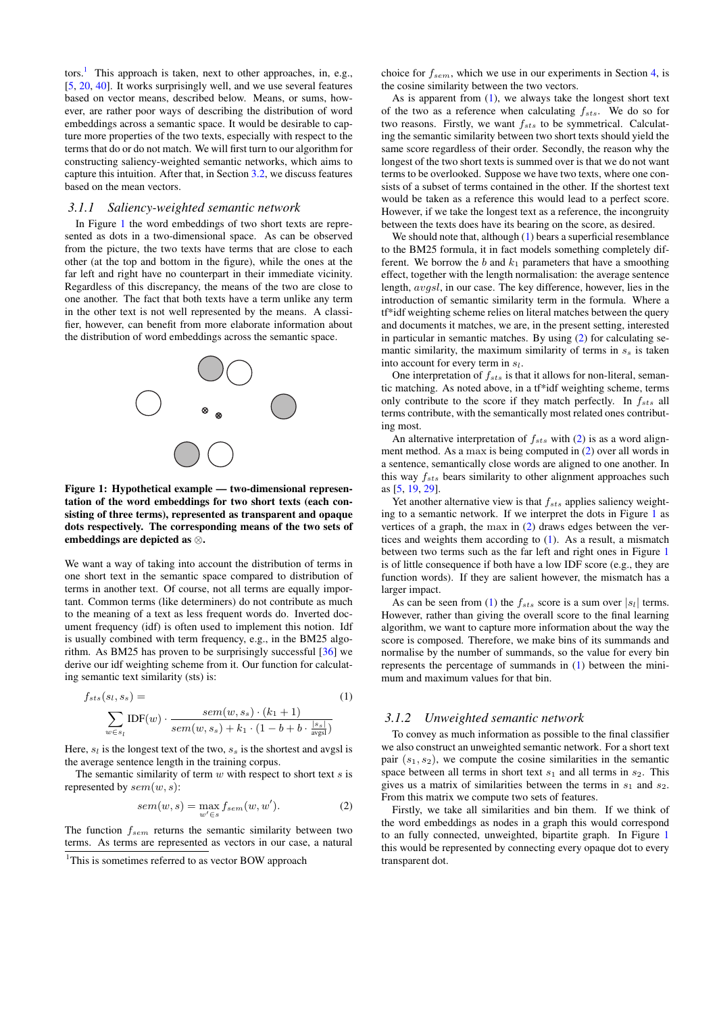tors.<sup>[1](#page-3-0)</sup> This approach is taken, next to other approaches, in, e.g., [\[5,](#page-9-31) [20,](#page-9-22) [40\]](#page-9-33). It works surprisingly well, and we use several features based on vector means, described below. Means, or sums, however, are rather poor ways of describing the distribution of word embeddings across a semantic space. It would be desirable to capture more properties of the two texts, especially with respect to the terms that do or do not match. We will first turn to our algorithm for constructing saliency-weighted semantic networks, which aims to capture this intuition. After that, in Section [3.2,](#page-4-1) we discuss features based on the mean vectors.

## <span id="page-3-4"></span>*3.1.1 Saliency-weighted semantic network*

In Figure [1](#page-3-1) the word embeddings of two short texts are represented as dots in a two-dimensional space. As can be observed from the picture, the two texts have terms that are close to each other (at the top and bottom in the figure), while the ones at the far left and right have no counterpart in their immediate vicinity. Regardless of this discrepancy, the means of the two are close to one another. The fact that both texts have a term unlike any term in the other text is not well represented by the means. A classifier, however, can benefit from more elaborate information about the distribution of word embeddings across the semantic space.



<span id="page-3-1"></span>Figure 1: Hypothetical example — two-dimensional representation of the word embeddings for two short texts (each consisting of three terms), represented as transparent and opaque dots respectively. The corresponding means of the two sets of embeddings are depicted as ⊗.

We want a way of taking into account the distribution of terms in one short text in the semantic space compared to distribution of terms in another text. Of course, not all terms are equally important. Common terms (like determiners) do not contribute as much to the meaning of a text as less frequent words do. Inverted document frequency (idf) is often used to implement this notion. Idf is usually combined with term frequency, e.g., in the BM25 algorithm. As BM25 has proven to be surprisingly successful [\[36\]](#page-9-34) we derive our idf weighting scheme from it. Our function for calculating semantic text similarity (sts) is:

<span id="page-3-2"></span>
$$
f_{sts}(s_l, s_s) = \sum_{w \in s_l} \text{IDF}(w) \cdot \frac{sem(w, s_s) \cdot (k_1 + 1)}{sem(w, s_s) + k_1 \cdot (1 - b + b \cdot \frac{|s_s|}{avg_s})}
$$
(1)

Here,  $s_l$  is the longest text of the two,  $s_s$  is the shortest and avgsl is the average sentence length in the training corpus.

The semantic similarity of term  $w$  with respect to short text  $s$  is represented by  $sem(w, s)$ :

<span id="page-3-3"></span>
$$
sem(w, s) = \max_{w' \in s} f_{sem}(w, w').
$$
 (2)

The function  $f_{sem}$  returns the semantic similarity between two terms. As terms are represented as vectors in our case, a natural choice for  $f_{sem}$ , which we use in our experiments in Section [4,](#page-4-0) is the cosine similarity between the two vectors.

As is apparent from  $(1)$ , we always take the longest short text of the two as a reference when calculating  $f_{sts}$ . We do so for two reasons. Firstly, we want  $f_{sts}$  to be symmetrical. Calculating the semantic similarity between two short texts should yield the same score regardless of their order. Secondly, the reason why the longest of the two short texts is summed over is that we do not want terms to be overlooked. Suppose we have two texts, where one consists of a subset of terms contained in the other. If the shortest text would be taken as a reference this would lead to a perfect score. However, if we take the longest text as a reference, the incongruity between the texts does have its bearing on the score, as desired.

We should note that, although [\(1\)](#page-3-2) bears a superficial resemblance to the BM25 formula, it in fact models something completely different. We borrow the b and  $k_1$  parameters that have a smoothing effect, together with the length normalisation: the average sentence length, *avasl*, in our case. The key difference, however, lies in the introduction of semantic similarity term in the formula. Where a tf\*idf weighting scheme relies on literal matches between the query and documents it matches, we are, in the present setting, interested in particular in semantic matches. By using [\(2\)](#page-3-3) for calculating semantic similarity, the maximum similarity of terms in  $s<sub>s</sub>$  is taken into account for every term in  $s_l$ .

One interpretation of  $f_{sts}$  is that it allows for non-literal, semantic matching. As noted above, in a tf\*idf weighting scheme, terms only contribute to the score if they match perfectly. In  $f_{sts}$  all terms contribute, with the semantically most related ones contributing most.

An alternative interpretation of  $f_{sts}$  with [\(2\)](#page-3-3) is as a word alignment method. As a max is being computed in [\(2\)](#page-3-3) over all words in a sentence, semantically close words are aligned to one another. In this way  $f_{sts}$  bears similarity to other alignment approaches such as [\[5,](#page-9-31) [19,](#page-9-7) [29\]](#page-9-30).

Yet another alternative view is that  $f_{sts}$  applies saliency weighting to a semantic network. If we interpret the dots in Figure [1](#page-3-1) as vertices of a graph, the max in [\(2\)](#page-3-3) draws edges between the vertices and weights them according to [\(1\)](#page-3-2). As a result, a mismatch between two terms such as the far left and right ones in Figure [1](#page-3-1) is of little consequence if both have a low IDF score (e.g., they are function words). If they are salient however, the mismatch has a larger impact.

As can be seen from [\(1\)](#page-3-2) the  $f_{sts}$  score is a sum over  $|s_l|$  terms. However, rather than giving the overall score to the final learning algorithm, we want to capture more information about the way the score is composed. Therefore, we make bins of its summands and normalise by the number of summands, so the value for every bin represents the percentage of summands in [\(1\)](#page-3-2) between the minimum and maximum values for that bin.

## <span id="page-3-5"></span>*3.1.2 Unweighted semantic network*

To convey as much information as possible to the final classifier we also construct an unweighted semantic network. For a short text pair  $(s_1, s_2)$ , we compute the cosine similarities in the semantic space between all terms in short text  $s_1$  and all terms in  $s_2$ . This gives us a matrix of similarities between the terms in  $s_1$  and  $s_2$ . From this matrix we compute two sets of features.

Firstly, we take all similarities and bin them. If we think of the word embeddings as nodes in a graph this would correspond to an fully connected, unweighted, bipartite graph. In Figure [1](#page-3-1) this would be represented by connecting every opaque dot to every transparent dot.

<span id="page-3-0"></span><sup>&</sup>lt;sup>1</sup>This is sometimes referred to as vector BOW approach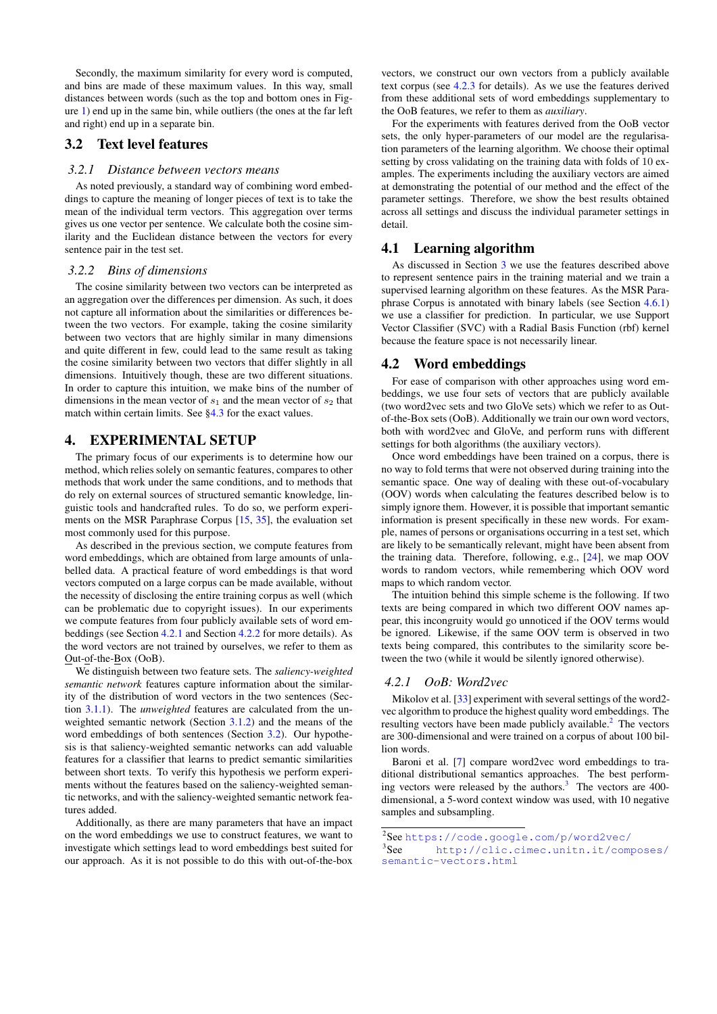Secondly, the maximum similarity for every word is computed, and bins are made of these maximum values. In this way, small distances between words (such as the top and bottom ones in Figure [1\)](#page-3-1) end up in the same bin, while outliers (the ones at the far left and right) end up in a separate bin.

# <span id="page-4-1"></span>3.2 Text level features

# *3.2.1 Distance between vectors means*

As noted previously, a standard way of combining word embeddings to capture the meaning of longer pieces of text is to take the mean of the individual term vectors. This aggregation over terms gives us one vector per sentence. We calculate both the cosine similarity and the Euclidean distance between the vectors for every sentence pair in the test set.

## *3.2.2 Bins of dimensions*

The cosine similarity between two vectors can be interpreted as an aggregation over the differences per dimension. As such, it does not capture all information about the similarities or differences between the two vectors. For example, taking the cosine similarity between two vectors that are highly similar in many dimensions and quite different in few, could lead to the same result as taking the cosine similarity between two vectors that differ slightly in all dimensions. Intuitively though, these are two different situations. In order to capture this intuition, we make bins of the number of dimensions in the mean vector of  $s_1$  and the mean vector of  $s_2$  that match within certain limits. See [§4.3](#page-5-1) for the exact values.

# <span id="page-4-0"></span>4. EXPERIMENTAL SETUP

The primary focus of our experiments is to determine how our method, which relies solely on semantic features, compares to other methods that work under the same conditions, and to methods that do rely on external sources of structured semantic knowledge, linguistic tools and handcrafted rules. To do so, we perform experiments on the MSR Paraphrase Corpus [\[15,](#page-9-25) [35\]](#page-9-26), the evaluation set most commonly used for this purpose.

As described in the previous section, we compute features from word embeddings, which are obtained from large amounts of unlabelled data. A practical feature of word embeddings is that word vectors computed on a large corpus can be made available, without the necessity of disclosing the entire training corpus as well (which can be problematic due to copyright issues). In our experiments we compute features from four publicly available sets of word embeddings (see Section [4.2.1](#page-4-3) and Section [4.2.2](#page-5-2) for more details). As the word vectors are not trained by ourselves, we refer to them as Out-of-the-Box (OoB).

We distinguish between two feature sets. The *saliency-weighted semantic network* features capture information about the similarity of the distribution of word vectors in the two sentences (Section [3.1.1\)](#page-3-4). The *unweighted* features are calculated from the unweighted semantic network (Section [3.1.2\)](#page-3-5) and the means of the word embeddings of both sentences (Section [3.2\)](#page-4-1). Our hypothesis is that saliency-weighted semantic networks can add valuable features for a classifier that learns to predict semantic similarities between short texts. To verify this hypothesis we perform experiments without the features based on the saliency-weighted semantic networks, and with the saliency-weighted semantic network features added.

Additionally, as there are many parameters that have an impact on the word embeddings we use to construct features, we want to investigate which settings lead to word embeddings best suited for our approach. As it is not possible to do this with out-of-the-box

vectors, we construct our own vectors from a publicly available text corpus (see [4.2.3](#page-5-3) for details). As we use the features derived from these additional sets of word embeddings supplementary to the OoB features, we refer to them as *auxiliary*.

For the experiments with features derived from the OoB vector sets, the only hyper-parameters of our model are the regularisation parameters of the learning algorithm. We choose their optimal setting by cross validating on the training data with folds of 10 examples. The experiments including the auxiliary vectors are aimed at demonstrating the potential of our method and the effect of the parameter settings. Therefore, we show the best results obtained across all settings and discuss the individual parameter settings in detail.

# 4.1 Learning algorithm

As discussed in Section [3](#page-2-0) we use the features described above to represent sentence pairs in the training material and we train a supervised learning algorithm on these features. As the MSR Paraphrase Corpus is annotated with binary labels (see Section [4.6.1\)](#page-5-4) we use a classifier for prediction. In particular, we use Support Vector Classifier (SVC) with a Radial Basis Function (rbf) kernel because the feature space is not necessarily linear.

# <span id="page-4-2"></span>4.2 Word embeddings

For ease of comparison with other approaches using word embeddings, we use four sets of vectors that are publicly available (two word2vec sets and two GloVe sets) which we refer to as Outof-the-Box sets (OoB). Additionally we train our own word vectors, both with word2vec and GloVe, and perform runs with different settings for both algorithms (the auxiliary vectors).

Once word embeddings have been trained on a corpus, there is no way to fold terms that were not observed during training into the semantic space. One way of dealing with these out-of-vocabulary (OOV) words when calculating the features described below is to simply ignore them. However, it is possible that important semantic information is present specifically in these new words. For example, names of persons or organisations occurring in a test set, which are likely to be semantically relevant, might have been absent from the training data. Therefore, following, e.g., [\[24\]](#page-9-27), we map OOV words to random vectors, while remembering which OOV word maps to which random vector.

The intuition behind this simple scheme is the following. If two texts are being compared in which two different OOV names appear, this incongruity would go unnoticed if the OOV terms would be ignored. Likewise, if the same OOV term is observed in two texts being compared, this contributes to the similarity score between the two (while it would be silently ignored otherwise).

# <span id="page-4-3"></span>*4.2.1 OoB: Word2vec*

Mikolov et al. [\[33\]](#page-9-20) experiment with several settings of the word2 vec algorithm to produce the highest quality word embeddings. The resulting vectors have been made publicly available.<sup>[2](#page-4-4)</sup> The vectors are 300-dimensional and were trained on a corpus of about 100 billion words.

Baroni et al. [\[7\]](#page-9-35) compare word2vec word embeddings to traditional distributional semantics approaches. The best performing vectors were released by the authors. $3$  The vectors are 400dimensional, a 5-word context window was used, with 10 negative samples and subsampling.

<span id="page-4-4"></span><sup>2</sup> See <https://code.google.com/p/word2vec/>

<span id="page-4-5"></span><sup>&</sup>lt;sup>3</sup>See [http://clic.cimec.unitn.it/composes/](http://clic.cimec.unitn.it/composes/semantic-vectors.html) [semantic-vectors.html](http://clic.cimec.unitn.it/composes/semantic-vectors.html)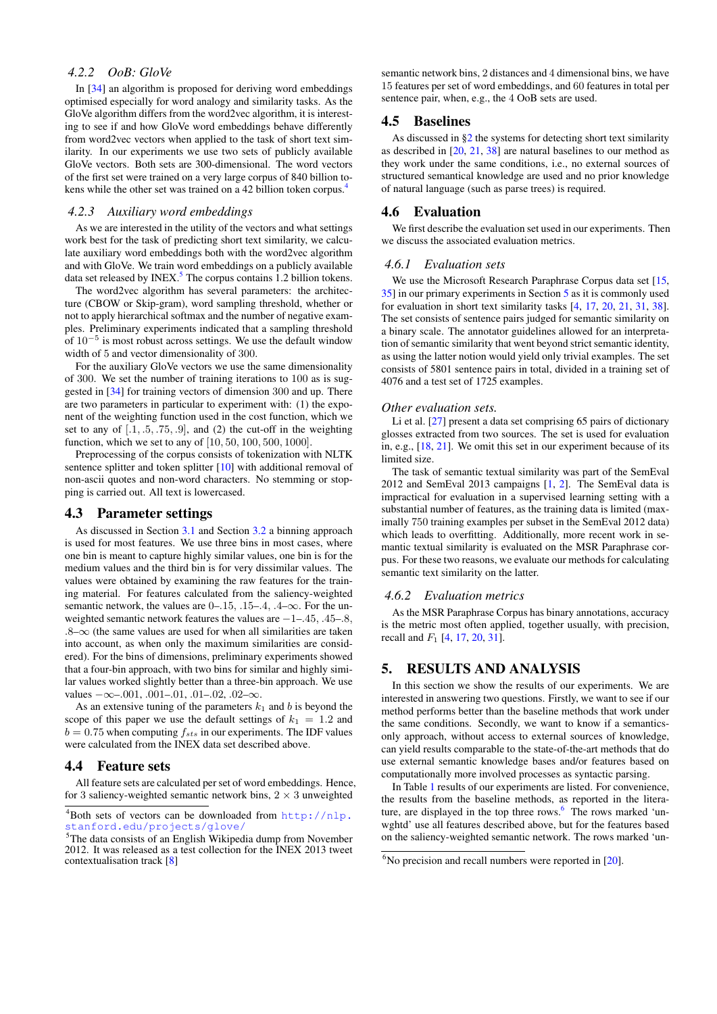# <span id="page-5-2"></span>*4.2.2 OoB: GloVe*

In [\[34\]](#page-9-15) an algorithm is proposed for deriving word embeddings optimised especially for word analogy and similarity tasks. As the GloVe algorithm differs from the word2vec algorithm, it is interesting to see if and how GloVe word embeddings behave differently from word2vec vectors when applied to the task of short text similarity. In our experiments we use two sets of publicly available GloVe vectors. Both sets are 300-dimensional. The word vectors of the first set were trained on a very large corpus of 840 billion tokens while the other set was trained on a 42 billion token corpus.[4](#page-5-5)

#### <span id="page-5-3"></span>*4.2.3 Auxiliary word embeddings*

As we are interested in the utility of the vectors and what settings work best for the task of predicting short text similarity, we calculate auxiliary word embeddings both with the word2vec algorithm and with GloVe. We train word embeddings on a publicly available data set released by INEX. $5$  The corpus contains 1.2 billion tokens.

The word2vec algorithm has several parameters: the architecture (CBOW or Skip-gram), word sampling threshold, whether or not to apply hierarchical softmax and the number of negative examples. Preliminary experiments indicated that a sampling threshold of 10<sup>−</sup><sup>5</sup> is most robust across settings. We use the default window width of 5 and vector dimensionality of 300.

For the auxiliary GloVe vectors we use the same dimensionality of 300. We set the number of training iterations to 100 as is suggested in [\[34\]](#page-9-15) for training vectors of dimension 300 and up. There are two parameters in particular to experiment with: (1) the exponent of the weighting function used in the cost function, which we set to any of  $[0.1, 0.5, 0.75, 0.9]$ , and (2) the cut-off in the weighting function, which we set to any of [10, 50, 100, 500, 1000].

Preprocessing of the corpus consists of tokenization with NLTK sentence splitter and token splitter [\[10\]](#page-9-36) with additional removal of non-ascii quotes and non-word characters. No stemming or stopping is carried out. All text is lowercased.

# <span id="page-5-1"></span>4.3 Parameter settings

As discussed in Section [3.1](#page-2-1) and Section [3.2](#page-4-1) a binning approach is used for most features. We use three bins in most cases, where one bin is meant to capture highly similar values, one bin is for the medium values and the third bin is for very dissimilar values. The values were obtained by examining the raw features for the training material. For features calculated from the saliency-weighted semantic network, the values are  $0-15$ ,  $15-4$ ,  $4-\infty$ . For the unweighted semantic network features the values are −1–.45, .45–.8,  $.8-\infty$  (the same values are used for when all similarities are taken into account, as when only the maximum similarities are considered). For the bins of dimensions, preliminary experiments showed that a four-bin approach, with two bins for similar and highly similar values worked slightly better than a three-bin approach. We use values  $-\infty$ -.001, .001-.01, .01-.02, .02- $\infty$ .

As an extensive tuning of the parameters  $k_1$  and b is beyond the scope of this paper we use the default settings of  $k_1 = 1.2$  and  $b = 0.75$  when computing  $f_{sts}$  in our experiments. The IDF values were calculated from the INEX data set described above.

## 4.4 Feature sets

All feature sets are calculated per set of word embeddings. Hence, for 3 saliency-weighted semantic network bins,  $2 \times 3$  unweighted

semantic network bins, 2 distances and 4 dimensional bins, we have 15 features per set of word embeddings, and 60 features in total per sentence pair, when, e.g., the 4 OoB sets are used.

## 4.5 Baselines

As discussed in [§2](#page-1-0) the systems for detecting short text similarity as described in [\[20,](#page-9-22) [21,](#page-9-6) [38\]](#page-9-23) are natural baselines to our method as they work under the same conditions, i.e., no external sources of structured semantical knowledge are used and no prior knowledge of natural language (such as parse trees) is required.

## 4.6 Evaluation

We first describe the evaluation set used in our experiments. Then we discuss the associated evaluation metrics.

#### <span id="page-5-4"></span>*4.6.1 Evaluation sets*

We use the Microsoft Research Paraphrase Corpus data set [\[15,](#page-9-25) [35\]](#page-9-26) in our primary experiments in Section [5](#page-5-0) as it is commonly used for evaluation in short text similarity tasks [\[4,](#page-9-17) [17,](#page-9-10) [20,](#page-9-22) [21,](#page-9-6) [31,](#page-9-4) [38\]](#page-9-23). The set consists of sentence pairs judged for semantic similarity on a binary scale. The annotator guidelines allowed for an interpretation of semantic similarity that went beyond strict semantic identity, as using the latter notion would yield only trivial examples. The set consists of 5801 sentence pairs in total, divided in a training set of 4076 and a test set of 1725 examples.

#### *Other evaluation sets.*

Li et al. [\[27\]](#page-9-29) present a data set comprising 65 pairs of dictionary glosses extracted from two sources. The set is used for evaluation in, e.g., [\[18,](#page-9-11) [21\]](#page-9-6). We omit this set in our experiment because of its limited size.

The task of semantic textual similarity was part of the SemEval 2012 and SemEval 2013 campaigns [\[1,](#page-8-1) [2\]](#page-9-13). The SemEval data is impractical for evaluation in a supervised learning setting with a substantial number of features, as the training data is limited (maximally 750 training examples per subset in the SemEval 2012 data) which leads to overfitting. Additionally, more recent work in semantic textual similarity is evaluated on the MSR Paraphrase corpus. For these two reasons, we evaluate our methods for calculating semantic text similarity on the latter.

## *4.6.2 Evaluation metrics*

As the MSR Paraphrase Corpus has binary annotations, accuracy is the metric most often applied, together usually, with precision, recall and  $F_1$  [\[4,](#page-9-17) [17,](#page-9-10) [20,](#page-9-22) [31\]](#page-9-4).

# <span id="page-5-0"></span>5. RESULTS AND ANALYSIS

In this section we show the results of our experiments. We are interested in answering two questions. Firstly, we want to see if our method performs better than the baseline methods that work under the same conditions. Secondly, we want to know if a semanticsonly approach, without access to external sources of knowledge, can yield results comparable to the state-of-the-art methods that do use external semantic knowledge bases and/or features based on computationally more involved processes as syntactic parsing.

In Table [1](#page-6-0) results of our experiments are listed. For convenience, the results from the baseline methods, as reported in the litera-ture, are displayed in the top three rows.<sup>[6](#page-5-7)</sup> The rows marked 'unwghtd' use all features described above, but for the features based on the saliency-weighted semantic network. The rows marked 'un-

<span id="page-5-5"></span><sup>&</sup>lt;sup>4</sup>Both sets of vectors can be downloaded from  $http://nlp.$ [stanford.edu/projects/glove/](http://nlp.stanford.edu/projects/glove/)

<span id="page-5-6"></span><sup>5</sup>The data consists of an English Wikipedia dump from November 2012. It was released as a test collection for the INEX 2013 tweet contextualisation track [\[8\]](#page-9-37)

<span id="page-5-7"></span> $6$ No precision and recall numbers were reported in  $[20]$ .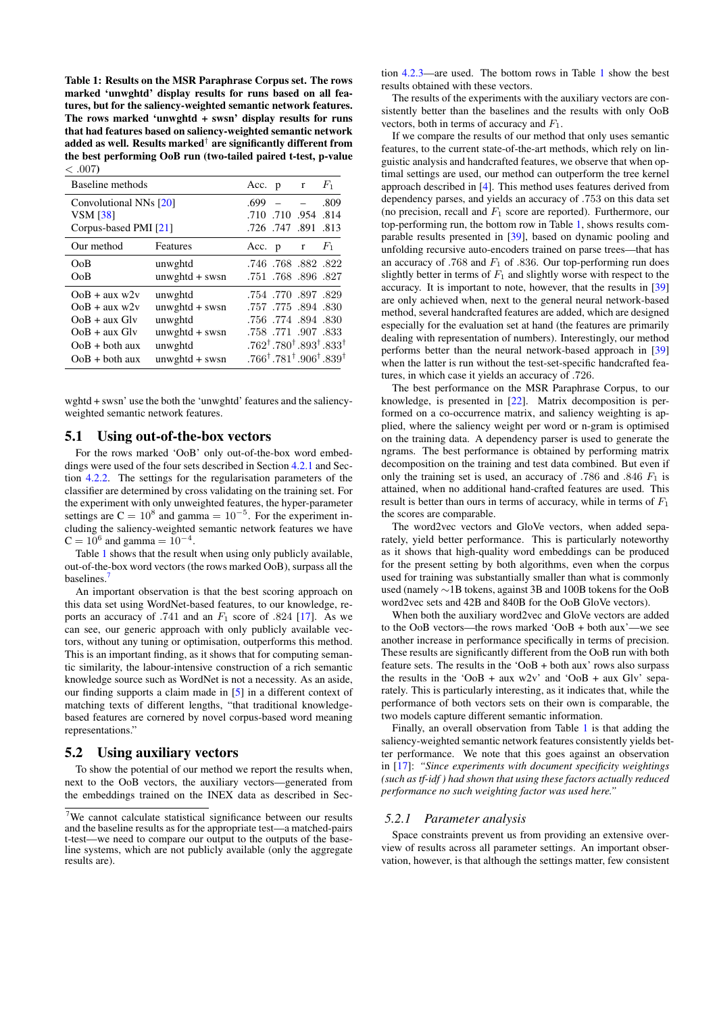<span id="page-6-0"></span>Table 1: Results on the MSR Paraphrase Corpus set. The rows marked 'unwghtd' display results for runs based on all features, but for the saliency-weighted semantic network features. The rows marked 'unwghtd + swsn' display results for runs that had features based on saliency-weighted semantic network added as well. Results marked $^\dagger$  are significantly different from the best performing OoB run (two-tailed paired t-test, p-value  $\leq 007$ 

| Baseline methods                                                                                                 |                                                                                           |      | Acc. p r      |                                                                                     | $F_1$                                                                                                                      |
|------------------------------------------------------------------------------------------------------------------|-------------------------------------------------------------------------------------------|------|---------------|-------------------------------------------------------------------------------------|----------------------------------------------------------------------------------------------------------------------------|
| Convolutional NNs [20]<br><b>VSM</b> [38]<br>Corpus-based PMI [21]                                               |                                                                                           | .699 |               | .710 .954 .814<br>.726 .747 .891 .813                                               | .809                                                                                                                       |
| Our method                                                                                                       | Features                                                                                  |      | Acc. $p \t r$ |                                                                                     | $F_1$                                                                                                                      |
| OoB<br>OoB                                                                                                       | unwghtd<br>$unwyhtd + swsn$                                                               |      |               | .746 .768 .882 .822<br>.751 .768 .896 .827                                          |                                                                                                                            |
| $OoB + aux w2v$<br>$OoB + aux w2v$<br>$OoB + aux Glv$<br>$OoB + aux Glv$<br>$OoB + both aux$<br>$OoB + both aux$ | unwghtd<br>$unwyhtd + swsn$<br>unwghtd<br>$unwyhtd + swsn$<br>unwghtd<br>$unwyhtd + swsn$ |      |               | .754 .770 .897 .829<br>.757, 894, 830<br>.756 .774 .894 .830<br>.758 .771 .907 .833 | $.762^{\dagger}.780^{\dagger}.893^{\dagger}.833^{\dagger}$<br>$0.766^{\dagger}.781^{\dagger}.906^{\dagger}.839^{\dagger}.$ |

wghtd + swsn' use the both the 'unwghtd' features and the saliencyweighted semantic network features.

# 5.1 Using out-of-the-box vectors

For the rows marked 'OoB' only out-of-the-box word embeddings were used of the four sets described in Section [4.2.1](#page-4-3) and Section [4.2.2.](#page-5-2) The settings for the regularisation parameters of the classifier are determined by cross validating on the training set. For the experiment with only unweighted features, the hyper-parameter settings are  $C = 10^8$  and gamma =  $10^{-5}$ . For the experiment including the saliency-weighted semantic network features we have  $C = 10^6$  and gamma =  $10^{-4}$ .

Table [1](#page-6-0) shows that the result when using only publicly available, out-of-the-box word vectors (the rows marked OoB), surpass all the baselines.<sup>[7](#page-6-1)</sup>

An important observation is that the best scoring approach on this data set using WordNet-based features, to our knowledge, reports an accuracy of .741 and an  $F_1$  score of .824 [\[17\]](#page-9-10). As we can see, our generic approach with only publicly available vectors, without any tuning or optimisation, outperforms this method. This is an important finding, as it shows that for computing semantic similarity, the labour-intensive construction of a rich semantic knowledge source such as WordNet is not a necessity. As an aside, our finding supports a claim made in [\[5\]](#page-9-31) in a different context of matching texts of different lengths, "that traditional knowledgebased features are cornered by novel corpus-based word meaning representations."

# 5.2 Using auxiliary vectors

To show the potential of our method we report the results when, next to the OoB vectors, the auxiliary vectors—generated from the embeddings trained on the INEX data as described in Sec-

tion [4.2.3—](#page-5-3)are used. The bottom rows in Table [1](#page-6-0) show the best results obtained with these vectors.

The results of the experiments with the auxiliary vectors are consistently better than the baselines and the results with only OoB vectors, both in terms of accuracy and  $F_1$ .

If we compare the results of our method that only uses semantic features, to the current state-of-the-art methods, which rely on linguistic analysis and handcrafted features, we observe that when optimal settings are used, our method can outperform the tree kernel approach described in [\[4\]](#page-9-17). This method uses features derived from dependency parses, and yields an accuracy of .753 on this data set (no precision, recall and  $F_1$  score are reported). Furthermore, our top-performing run, the bottom row in Table [1,](#page-6-0) shows results comparable results presented in [\[39\]](#page-9-8), based on dynamic pooling and unfolding recursive auto-encoders trained on parse trees—that has an accuracy of .768 and  $F_1$  of .836. Our top-performing run does slightly better in terms of  $F_1$  and slightly worse with respect to the accuracy. It is important to note, however, that the results in [\[39\]](#page-9-8) are only achieved when, next to the general neural network-based method, several handcrafted features are added, which are designed especially for the evaluation set at hand (the features are primarily dealing with representation of numbers). Interestingly, our method performs better than the neural network-based approach in [\[39\]](#page-9-8) when the latter is run without the test-set-specific handcrafted features, in which case it yields an accuracy of .726.

The best performance on the MSR Paraphrase Corpus, to our knowledge, is presented in [\[22\]](#page-9-24). Matrix decomposition is performed on a co-occurrence matrix, and saliency weighting is applied, where the saliency weight per word or n-gram is optimised on the training data. A dependency parser is used to generate the ngrams. The best performance is obtained by performing matrix decomposition on the training and test data combined. But even if only the training set is used, an accuracy of .786 and .846  $F_1$  is attained, when no additional hand-crafted features are used. This result is better than ours in terms of accuracy, while in terms of  $F_1$ the scores are comparable.

The word2vec vectors and GloVe vectors, when added separately, yield better performance. This is particularly noteworthy as it shows that high-quality word embeddings can be produced for the present setting by both algorithms, even when the corpus used for training was substantially smaller than what is commonly used (namely ∼1B tokens, against 3B and 100B tokens for the OoB word2vec sets and 42B and 840B for the OoB GloVe vectors).

When both the auxiliary word2vec and GloVe vectors are added to the OoB vectors—the rows marked 'OoB + both aux'—we see another increase in performance specifically in terms of precision. These results are significantly different from the OoB run with both feature sets. The results in the 'OoB + both aux' rows also surpass the results in the 'OoB + aux  $w2v'$  and 'OoB + aux Glv' separately. This is particularly interesting, as it indicates that, while the performance of both vectors sets on their own is comparable, the two models capture different semantic information.

Finally, an overall observation from Table [1](#page-6-0) is that adding the saliency-weighted semantic network features consistently yields better performance. We note that this goes against an observation in [\[17\]](#page-9-10): *"Since experiments with document specificity weightings (such as tf-idf ) had shown that using these factors actually reduced performance no such weighting factor was used here."*

### *5.2.1 Parameter analysis*

Space constraints prevent us from providing an extensive overview of results across all parameter settings. An important observation, however, is that although the settings matter, few consistent

<span id="page-6-1"></span><sup>7</sup>We cannot calculate statistical significance between our results and the baseline results as for the appropriate test—a matched-pairs t-test—we need to compare our output to the outputs of the baseline systems, which are not publicly available (only the aggregate results are).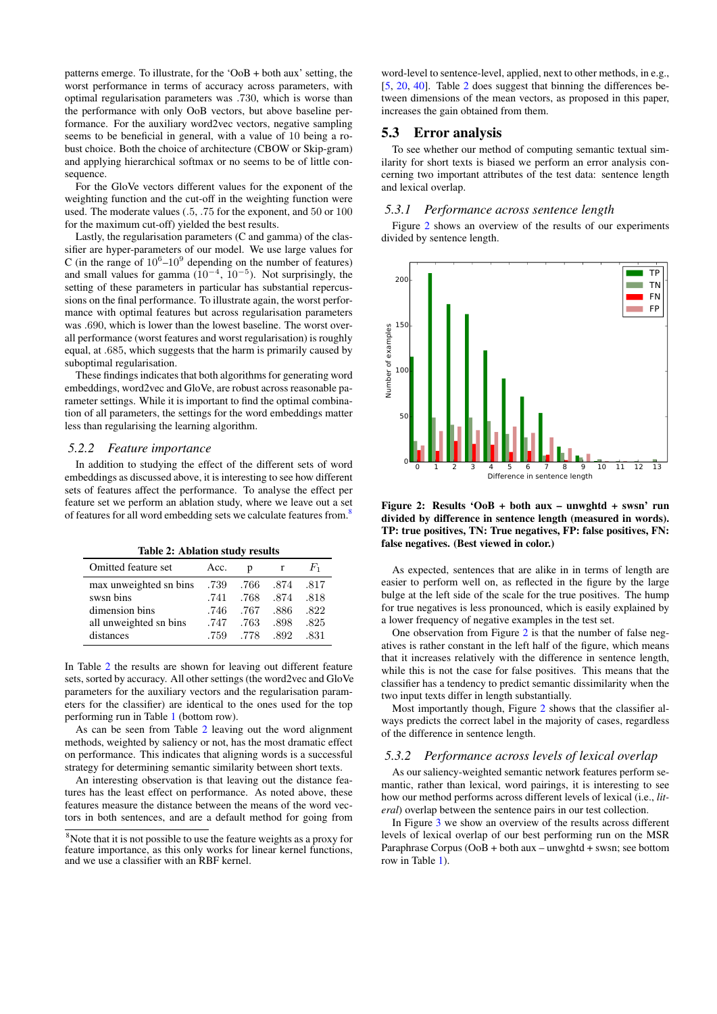patterns emerge. To illustrate, for the 'OoB + both aux' setting, the worst performance in terms of accuracy across parameters, with optimal regularisation parameters was .730, which is worse than the performance with only OoB vectors, but above baseline performance. For the auxiliary word2vec vectors, negative sampling seems to be beneficial in general, with a value of 10 being a robust choice. Both the choice of architecture (CBOW or Skip-gram) and applying hierarchical softmax or no seems to be of little consequence.

For the GloVe vectors different values for the exponent of the weighting function and the cut-off in the weighting function were used. The moderate values (.5, .75 for the exponent, and 50 or 100 for the maximum cut-off) yielded the best results.

Lastly, the regularisation parameters (C and gamma) of the classifier are hyper-parameters of our model. We use large values for C (in the range of  $10^6$ - $10^9$  depending on the number of features) and small values for gamma  $(10^{-4}, 10^{-5})$ . Not surprisingly, the setting of these parameters in particular has substantial repercussions on the final performance. To illustrate again, the worst performance with optimal features but across regularisation parameters was .690, which is lower than the lowest baseline. The worst overall performance (worst features and worst regularisation) is roughly equal, at .685, which suggests that the harm is primarily caused by suboptimal regularisation.

These findings indicates that both algorithms for generating word embeddings, word2vec and GloVe, are robust across reasonable parameter settings. While it is important to find the optimal combination of all parameters, the settings for the word embeddings matter less than regularising the learning algorithm.

#### *5.2.2 Feature importance*

In addition to studying the effect of the different sets of word embeddings as discussed above, it is interesting to see how different sets of features affect the performance. To analyse the effect per feature set we perform an ablation study, where we leave out a set of features for all word embedding sets we calculate features from.<sup>[8](#page-7-0)</sup>

<span id="page-7-1"></span>Table 2: Ablation study results

| Omitted feature set    | Acc. | n       |            | $F_{1}$ |
|------------------------|------|---------|------------|---------|
| max unweighted sn bins | .739 |         | .766 .874  | .817    |
| swsn bins              | .741 |         | .768. .874 | -818    |
| dimension bins         | .746 | .767    | -886       | -822    |
| all unweighted sn bins | .747 | .763    | -898       | -825    |
| distances              | .759 | 778 892 |            | -831    |

In Table [2](#page-7-1) the results are shown for leaving out different feature sets, sorted by accuracy. All other settings (the word2vec and GloVe parameters for the auxiliary vectors and the regularisation parameters for the classifier) are identical to the ones used for the top performing run in Table [1](#page-6-0) (bottom row).

As can be seen from Table [2](#page-7-1) leaving out the word alignment methods, weighted by saliency or not, has the most dramatic effect on performance. This indicates that aligning words is a successful strategy for determining semantic similarity between short texts.

An interesting observation is that leaving out the distance features has the least effect on performance. As noted above, these features measure the distance between the means of the word vectors in both sentences, and are a default method for going from

word-level to sentence-level, applied, next to other methods, in e.g., [\[5,](#page-9-31) [20,](#page-9-22) [40\]](#page-9-33). Table [2](#page-7-1) does suggest that binning the differences between dimensions of the mean vectors, as proposed in this paper, increases the gain obtained from them.

## 5.3 Error analysis

To see whether our method of computing semantic textual similarity for short texts is biased we perform an error analysis concerning two important attributes of the test data: sentence length and lexical overlap.

#### *5.3.1 Performance across sentence length*

Figure [2](#page-7-2) shows an overview of the results of our experiments divided by sentence length.



<span id="page-7-2"></span>Figure 2: Results 'OoB + both aux – unwghtd + swsn' run divided by difference in sentence length (measured in words). TP: true positives, TN: True negatives, FP: false positives, FN: false negatives. (Best viewed in color.)

As expected, sentences that are alike in in terms of length are easier to perform well on, as reflected in the figure by the large bulge at the left side of the scale for the true positives. The hump for true negatives is less pronounced, which is easily explained by a lower frequency of negative examples in the test set.

One observation from Figure [2](#page-7-2) is that the number of false negatives is rather constant in the left half of the figure, which means that it increases relatively with the difference in sentence length, while this is not the case for false positives. This means that the classifier has a tendency to predict semantic dissimilarity when the two input texts differ in length substantially.

Most importantly though, Figure [2](#page-7-2) shows that the classifier always predicts the correct label in the majority of cases, regardless of the difference in sentence length.

## *5.3.2 Performance across levels of lexical overlap*

As our saliency-weighted semantic network features perform semantic, rather than lexical, word pairings, it is interesting to see how our method performs across different levels of lexical (i.e., *literal*) overlap between the sentence pairs in our test collection.

In Figure [3](#page-8-2) we show an overview of the results across different levels of lexical overlap of our best performing run on the MSR Paraphrase Corpus (OoB + both aux – unwghtd + swsn; see bottom row in Table [1\)](#page-6-0).

<span id="page-7-0"></span><sup>&</sup>lt;sup>8</sup>Note that it is not possible to use the feature weights as a proxy for feature importance, as this only works for linear kernel functions, and we use a classifier with an RBF kernel.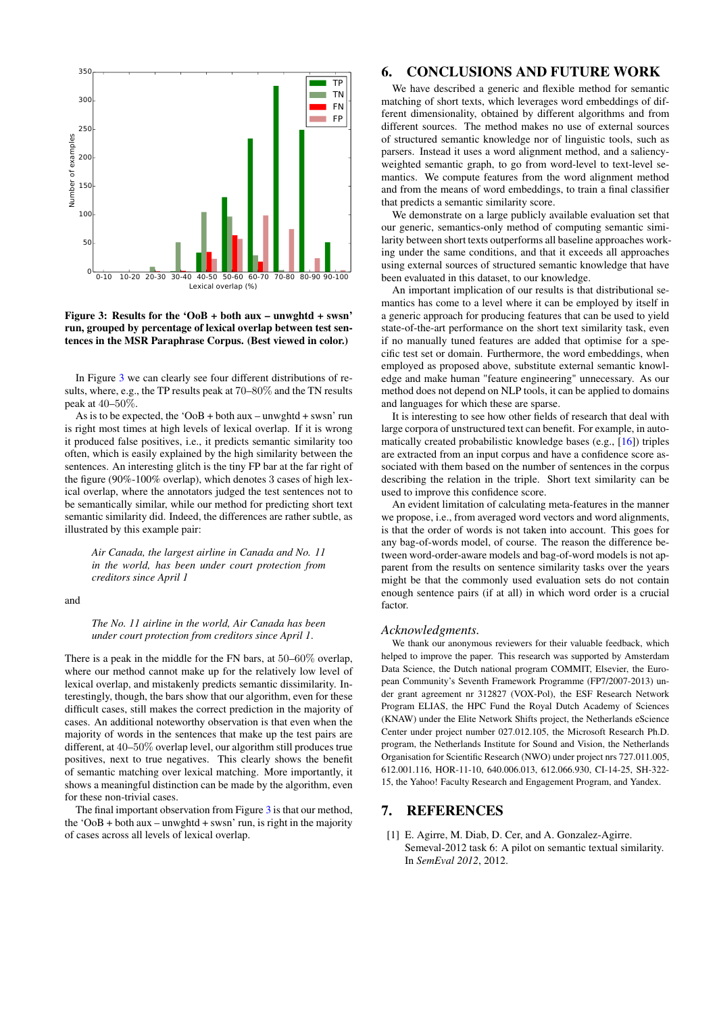

### <span id="page-8-2"></span>Figure 3: Results for the 'OoB + both aux – unwghtd + swsn' run, grouped by percentage of lexical overlap between test sentences in the MSR Paraphrase Corpus. (Best viewed in color.)

In Figure [3](#page-8-2) we can clearly see four different distributions of results, where, e.g., the TP results peak at 70–80% and the TN results peak at 40–50%.

As is to be expected, the ' $\text{OoB} + \text{both aux} - \text{unwyhtd} + \text{swsn}'$  run is right most times at high levels of lexical overlap. If it is wrong it produced false positives, i.e., it predicts semantic similarity too often, which is easily explained by the high similarity between the sentences. An interesting glitch is the tiny FP bar at the far right of the figure (90%-100% overlap), which denotes 3 cases of high lexical overlap, where the annotators judged the test sentences not to be semantically similar, while our method for predicting short text semantic similarity did. Indeed, the differences are rather subtle, as illustrated by this example pair:

*Air Canada, the largest airline in Canada and No. 11 in the world, has been under court protection from creditors since April 1*

and

#### *The No. 11 airline in the world, Air Canada has been under court protection from creditors since April 1*.

There is a peak in the middle for the FN bars, at 50–60% overlap, where our method cannot make up for the relatively low level of lexical overlap, and mistakenly predicts semantic dissimilarity. Interestingly, though, the bars show that our algorithm, even for these difficult cases, still makes the correct prediction in the majority of cases. An additional noteworthy observation is that even when the majority of words in the sentences that make up the test pairs are different, at 40–50% overlap level, our algorithm still produces true positives, next to true negatives. This clearly shows the benefit of semantic matching over lexical matching. More importantly, it shows a meaningful distinction can be made by the algorithm, even for these non-trivial cases.

The final important observation from Figure [3](#page-8-2) is that our method, the 'OoB + both aux – unwghtd + swsn' run, is right in the majority of cases across all levels of lexical overlap.

# <span id="page-8-0"></span>6. CONCLUSIONS AND FUTURE WORK

We have described a generic and flexible method for semantic matching of short texts, which leverages word embeddings of different dimensionality, obtained by different algorithms and from different sources. The method makes no use of external sources of structured semantic knowledge nor of linguistic tools, such as parsers. Instead it uses a word alignment method, and a saliencyweighted semantic graph, to go from word-level to text-level semantics. We compute features from the word alignment method and from the means of word embeddings, to train a final classifier that predicts a semantic similarity score.

We demonstrate on a large publicly available evaluation set that our generic, semantics-only method of computing semantic similarity between short texts outperforms all baseline approaches working under the same conditions, and that it exceeds all approaches using external sources of structured semantic knowledge that have been evaluated in this dataset, to our knowledge.

An important implication of our results is that distributional semantics has come to a level where it can be employed by itself in a generic approach for producing features that can be used to yield state-of-the-art performance on the short text similarity task, even if no manually tuned features are added that optimise for a specific test set or domain. Furthermore, the word embeddings, when employed as proposed above, substitute external semantic knowledge and make human "feature engineering" unnecessary. As our method does not depend on NLP tools, it can be applied to domains and languages for which these are sparse.

It is interesting to see how other fields of research that deal with large corpora of unstructured text can benefit. For example, in automatically created probabilistic knowledge bases (e.g., [\[16\]](#page-9-38)) triples are extracted from an input corpus and have a confidence score associated with them based on the number of sentences in the corpus describing the relation in the triple. Short text similarity can be used to improve this confidence score.

An evident limitation of calculating meta-features in the manner we propose, i.e., from averaged word vectors and word alignments, is that the order of words is not taken into account. This goes for any bag-of-words model, of course. The reason the difference between word-order-aware models and bag-of-word models is not apparent from the results on sentence similarity tasks over the years might be that the commonly used evaluation sets do not contain enough sentence pairs (if at all) in which word order is a crucial factor.

### *Acknowledgments.*

We thank our anonymous reviewers for their valuable feedback, which helped to improve the paper. This research was supported by Amsterdam Data Science, the Dutch national program COMMIT, Elsevier, the European Community's Seventh Framework Programme (FP7/2007-2013) under grant agreement nr 312827 (VOX-Pol), the ESF Research Network Program ELIAS, the HPC Fund the Royal Dutch Academy of Sciences (KNAW) under the Elite Network Shifts project, the Netherlands eScience Center under project number 027.012.105, the Microsoft Research Ph.D. program, the Netherlands Institute for Sound and Vision, the Netherlands Organisation for Scientific Research (NWO) under project nrs 727.011.005, 612.001.116, HOR-11-10, 640.006.013, 612.066.930, CI-14-25, SH-322- 15, the Yahoo! Faculty Research and Engagement Program, and Yandex.

# 7. REFERENCES

<span id="page-8-1"></span>[1] E. Agirre, M. Diab, D. Cer, and A. Gonzalez-Agirre. Semeval-2012 task 6: A pilot on semantic textual similarity. In *SemEval 2012*, 2012.